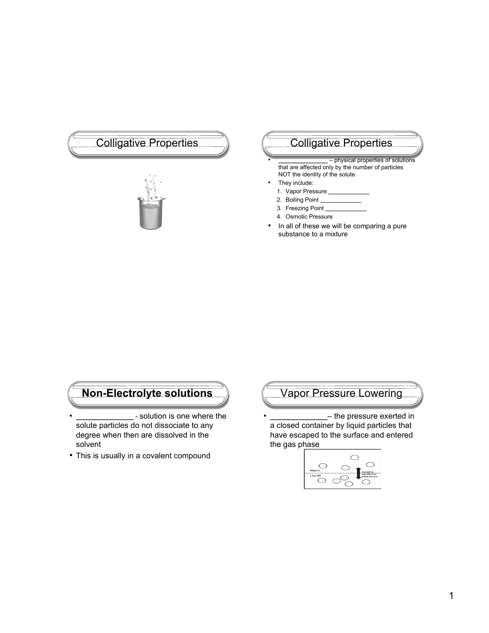# Colligative Properties (Colligative Properties



• **\_\_\_\_\_\_\_\_\_\_\_\_\_\_\_** – physical properties of solutions that are affected only by the number of particles NOT the identity of the solute

- They include:
- 1. Vapor Pressure **\_\_\_\_\_\_\_\_\_\_\_\_\_\_\_**
- 2. Boiling Point **\_\_\_\_\_\_\_\_\_\_\_\_\_\_\_**
- 3. Freezing Point **\_\_\_\_\_\_\_\_\_\_\_\_\_\_\_**
- 4. Osmotic Pressure
- In all of these we will be comparing a pure substance to a mixture

## **Non-Electrolyte solutions**

- **\_\_\_\_\_\_\_\_\_\_\_\_\_\_\_** solution is one where the solute particles do not dissociate to any degree when then are dissolved in the solvent
- This is usually in a covalent compound

## Vapor Pressure Lowering

• **\_\_\_\_\_\_\_\_\_\_\_\_\_\_\_**– the pressure exerted in a closed container by liquid particles that have escaped to the surface and entered the gas phase

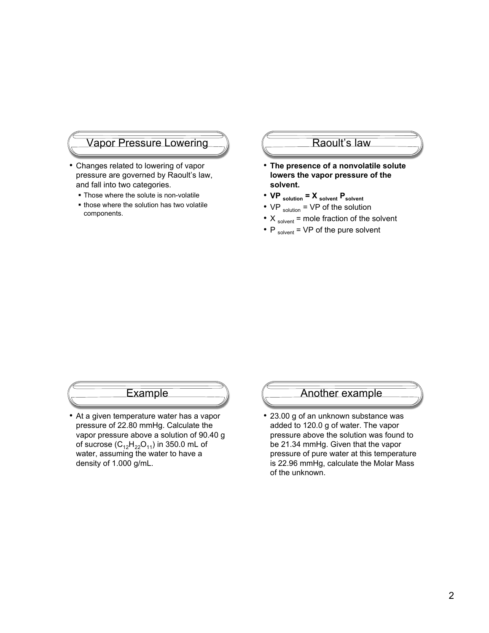#### Vapor Pressure Lowering

- Changes related to lowering of vapor pressure are governed by Raoult's law, and fall into two categories.
	- **Those where the solute is non-volatile**
	- those where the solution has two volatile components.

#### Raoult's law

- **The presence of a nonvolatile solute lowers the vapor pressure of the solvent.**
- **VP** solution = **X** solvent **P** solvent
- $VP_{solution} = VP$  of the solution
- $X_{solved}$  = mole fraction of the solvent
- $P_{solvent}$  = VP of the pure solvent

#### **Example**

• At a given temperature water has a vapor pressure of 22.80 mmHg. Calculate the vapor pressure above a solution of 90.40 g of sucrose  $(C_{12}H_{22}O_{11})$  in 350.0 mL of water, assuming the water to have a density of 1.000 g/mL.

## Another example

• 23.00 g of an unknown substance was added to 120.0 g of water. The vapor pressure above the solution was found to be 21.34 mmHg. Given that the vapor pressure of pure water at this temperature is 22.96 mmHg, calculate the Molar Mass of the unknown.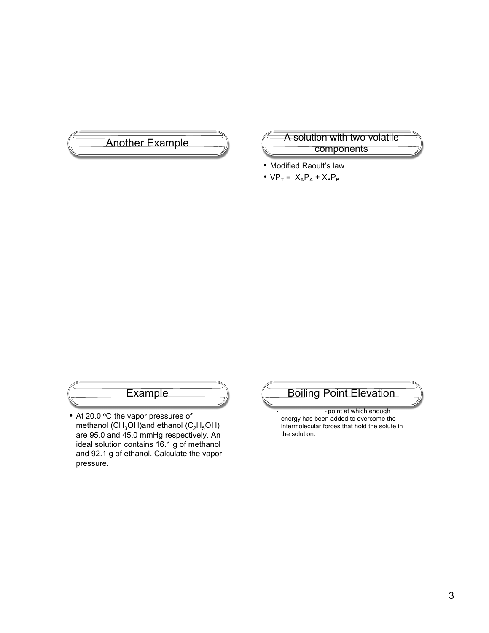

#### Another Example **A** solution with two volatile components

- Modified Raoult's law
- $VP_T = X_A P_A + X_B P_B$

## **Example**

• At 20.0 °C the vapor pressures of methanol (CH<sub>3</sub>OH)and ethanol (C<sub>2</sub>H<sub>5</sub>OH) are 95.0 and 45.0 mmHg respectively. An ideal solution contains 16.1 g of methanol and 92.1 g of ethanol. Calculate the vapor pressure.

# Boiling Point Elevation

• **\_\_\_\_\_\_\_\_\_\_\_\_\_\_\_** - point at which enough energy has been added to overcome the intermolecular forces that hold the solute in the solution.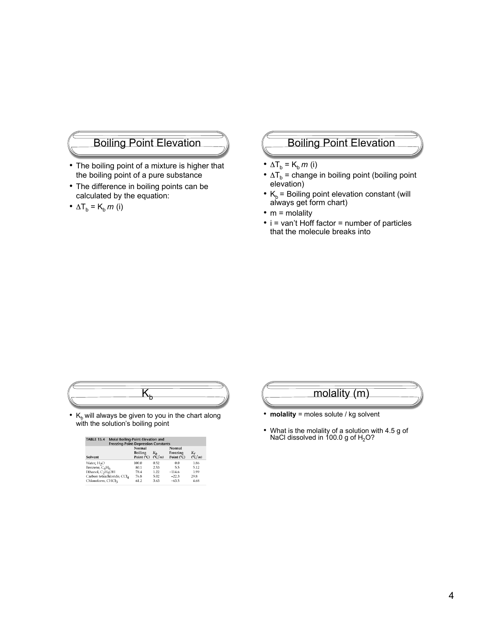## Boiling Point Elevation

- The boiling point of a mixture is higher that the boiling point of a pure substance
- The difference in boiling points can be calculated by the equation:
- $\Delta T_b = K_b m$  (i)

## Boiling Point Elevation

- $\Delta T_b = K_b m$  (i)
- $\Delta T_b$  = change in boiling point (boiling point elevation)
- $K_b$  = Boiling point elevation constant (will always get form chart)
- $\bullet$  m = molality
- i = van't Hoff factor = number of particles that the molecule breaks into

•  $K_b$  will always be given to you in the chart along with the solution's boiling point

| <b>TABLE 13.4</b><br>Molal Boiling-Point-Elevation and<br><b>Freezing-Point-Depression Constants</b> |                                 |                |                                  |                  |  |  |
|------------------------------------------------------------------------------------------------------|---------------------------------|----------------|----------------------------------|------------------|--|--|
| Solvent                                                                                              | Normal<br>Boiling<br>Point (°C) | $K_h$<br>(C/m) | Normal<br>Freezing<br>Point (°C) | $\mathcal{C}(m)$ |  |  |
| Water, H <sub>2</sub> O                                                                              | 100.0                           | 0.52           | 0.0                              | 1.86             |  |  |
| Benzene, C <sub>6</sub> H <sub>6</sub>                                                               | 80.1                            | 2.53           | 5.5                              | 5.12             |  |  |
| Ethanol, C <sub>2</sub> H <sub>5</sub> OH                                                            | 78.4                            | 1.22           | $-114.6$                         | 1.99             |  |  |
| Carbon tetrachloride, CCl4                                                                           | 76.8                            | 5.02           | $-22.3$                          | 29.8             |  |  |
| Chloroform, CHCl3                                                                                    | 61.2                            | 3.63           | $-63.5$                          | 4.68             |  |  |



- **molality** = moles solute / kg solvent
- What is the molality of a solution with 4.5 g of NaCl dissolved in  $100.0$  g of  $H<sub>2</sub>O$ ?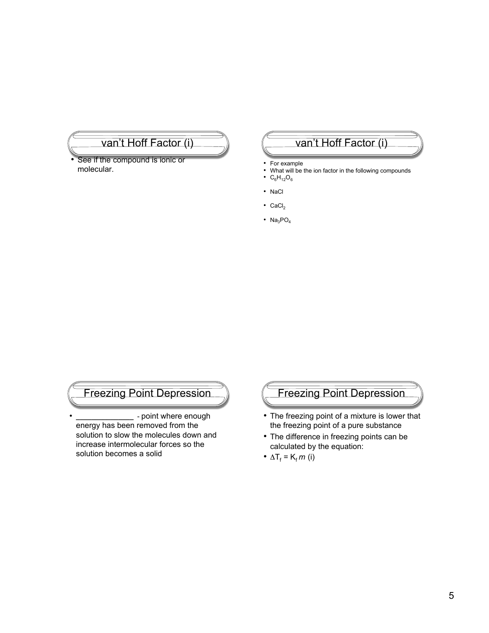## van't Hoff Factor (i)

See if the compound is ionic or molecular.

## van't Hoff Factor (i)

- For example
- What will be the ion factor in the following compounds
- $C_6H_{12}O_6$
- NaCl
- $CaCl<sub>2</sub>$
- $Na<sub>3</sub>PO<sub>4</sub>$

## Freezing Point Depression

• **\_\_\_\_\_\_\_\_\_\_\_\_\_\_\_** - point where enough energy has been removed from the solution to slow the molecules down and increase intermolecular forces so the solution becomes a solid

## Freezing Point Depression

- The freezing point of a mixture is lower that the freezing point of a pure substance
- The difference in freezing points can be calculated by the equation:
- $\Delta T_f = K_f m$  (i)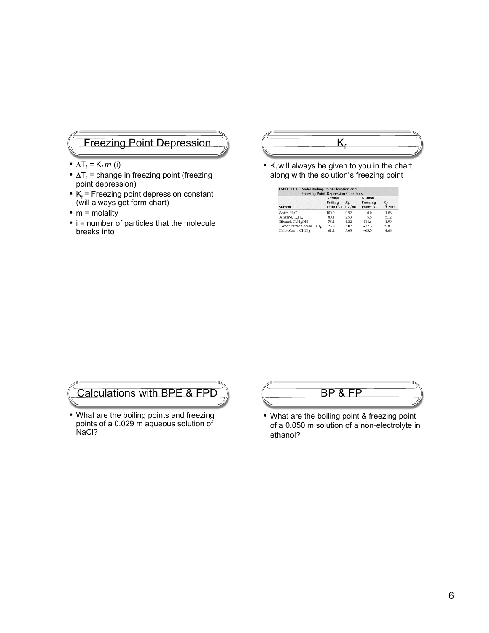## Freezing Point Depression

- $\Delta T_f = K_f m$  (i)
- $\Delta T_f$  = change in freezing point (freezing point depression)
- $K_f$  = Freezing point depression constant (will always get form chart)
- $m =$  molality
- i = number of particles that the molecule breaks into



•  $K_f$  will always be given to you in the chart along with the solution's freezing point

| <b>TABLE 13.4</b><br>Molal Boiling-Point-Elevation and<br><b>Freezing-Point-Depression Constants</b> |                                        |                          |                                  |                     |  |
|------------------------------------------------------------------------------------------------------|----------------------------------------|--------------------------|----------------------------------|---------------------|--|
| Solvent                                                                                              | Normal<br><b>Boiling</b><br>Point (°C) | $K_h$<br>$(^{\circ}C/m)$ | Normal<br>Freezing<br>Point (°C) | $\binom{\infty}{m}$ |  |
| Water, H <sub>2</sub> O                                                                              | 100.0                                  | 0.52                     | 0.0                              | 1.86                |  |
| Benzene, C6H6                                                                                        | 80.1                                   | 2.53                     | 5.5                              | 5.12                |  |
| Ethanol, C <sub>2</sub> H <sub>5</sub> OH                                                            | 78.4                                   | 1.22                     | $-114.6$                         | 1.99                |  |
| Carbon tetrachloride, CCl <sub>4</sub>                                                               | 76.8                                   | 5.02                     | $-22.3$                          | 29.8                |  |
| Chloroform, CHCl3                                                                                    | 61.2                                   | 3.63                     | $-63.5$                          | 4.68                |  |

# Calculations with BPE & FPD

• What are the boiling points and freezing points of a 0.029 m aqueous solution of NaCl?



• What are the boiling point & freezing point of a 0.050 m solution of a non-electrolyte in ethanol?